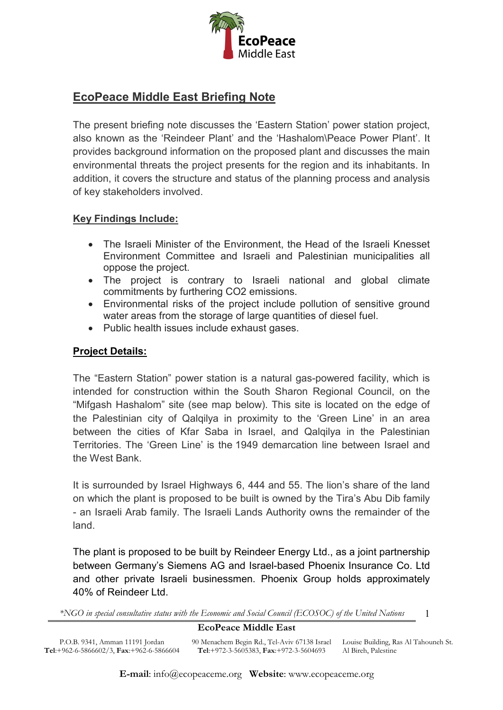

# **EcoPeace Middle East Briefing Note**

The present briefing note discusses the 'Eastern Station' power station project, also known as the 'Reindeer Plant' and the 'Hashalom\Peace Power Plant'. It provides background information on the proposed plant and discusses the main environmental threats the project presents for the region and its inhabitants. In addition, it covers the structure and status of the planning process and analysis of key stakeholders involved.

### **Key Findings Include:**

- The Israeli Minister of the Environment, the Head of the Israeli Knesset Environment Committee and Israeli and Palestinian municipalities all oppose the project.
- The project is contrary to Israeli national and global climate commitments by furthering CO2 emissions.
- Environmental risks of the project include pollution of sensitive ground water areas from the storage of large quantities of diesel fuel.
- Public health issues include exhaust gases.

## **Project Details:**

P.O.B. 9341, Amman 11191 Jordan **Tel**:+962-6-5866602/3, **Fax**:+962-6-5866604

The "Eastern Station" power station is a natural gas-powered facility, which is intended for construction within the South Sharon Regional Council, on the "Mifgash Hashalom" site (see map below). This site is located on the edge of the Palestinian city of Qalqilya in proximity to the 'Green Line' in an area between the cities of Kfar Saba in Israel, and Qalqilya in the Palestinian Territories. The 'Green Line' is the 1949 demarcation line between Israel and the West Bank.

It is surrounded by Israel Highways 6, 444 and 55. The lion's share of the land on which the plant is proposed to be built is owned by the Tira's Abu Dib family - an Israeli Arab family. The Israeli Lands Authority owns the remainder of the land.

The plant is proposed to be built by Reindeer Energy Ltd., as a joint partnership between Germany's Siemens AG and Israel-based Phoenix Insurance Co. Ltd and other private Israeli businessmen. Phoenix Group holds approximately 40% of Reindeer Ltd.

*\*NGO in special consultative status with the Economic and Social Council (ECOSOC) of the United Nations*

# **EcoPeace Middle East**

90 Menachem Begin Rd., Tel-Aviv 67138 Israel Louise Building, Ras Al Tahouneh St. **Tel**:+972-3-5605383, **Fax**:+972-3-5604693 Al Bireh, Palestine

1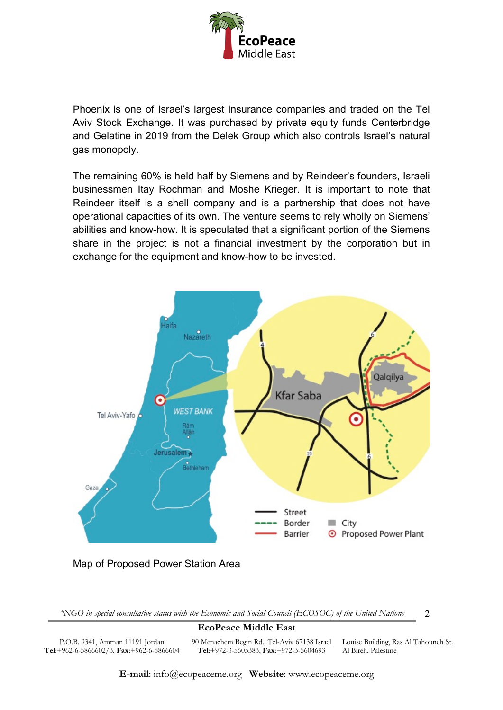

Phoenix is one of Israel's largest insurance companies and traded on the Tel Aviv Stock Exchange. It was purchased by private equity funds Centerbridge and Gelatine in 2019 from the Delek Group which also controls Israel's natural gas monopoly.

The remaining 60% is held half by Siemens and by Reindeer's founders, Israeli businessmen Itay Rochman and Moshe Krieger. It is important to note that Reindeer itself is a shell company and is a partnership that does not have operational capacities of its own. The venture seems to rely wholly on Siemens' abilities and know-how. It is speculated that a significant portion of the Siemens share in the project is not a financial investment by the corporation but in exchange for the equipment and know-how to be invested.



*\*NGO in special consultative status with the Economic and Social Council (ECOSOC) of the United Nations*

#### **EcoPeace Middle East**

P.O.B. 9341, Amman 11191 Jordan **Tel**:+962-6-5866602/3, **Fax**:+962-6-5866604 90 Menachem Begin Rd., Tel-Aviv 67138 Israel Louise Building, Ras Al Tahouneh St. **Tel**:+972-3-5605383, **Fax**:+972-3-5604693

Al Bireh, Palestine

2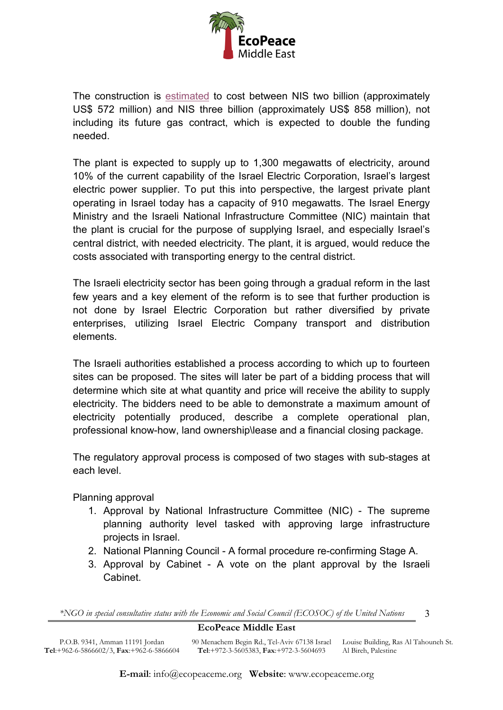

The construction i[s](https://www.calcalistech.com/ctech/articles/0,7340,L-3773206,00.html) [estimated](https://www.calcalistech.com/ctech/articles/0,7340,L-3773206,00.html) to cost between NIS two billion (approximately US\$ 572 million) and NIS three billion (approximately US\$ 858 million), not including its future gas contract, which is expected to double the funding needed.

The plant is expected to supply up to 1,300 megawatts of electricity, around 10% of the current capability of the Israel Electric Corporation, Israel's largest electric power supplier. To put this into perspective, the largest private plant operating in Israel today has a capacity of 910 megawatts. The Israel Energy Ministry and the Israeli National Infrastructure Committee (NIC) maintain that the plant is crucial for the purpose of supplying Israel, and especially Israel's central district, with needed electricity. The plant, it is argued, would reduce the costs associated with transporting energy to the central district.

The Israeli electricity sector has been going through a gradual reform in the last few years and a key element of the reform is to see that further production is not done by Israel Electric Corporation but rather diversified by private enterprises, utilizing Israel Electric Company transport and distribution elements.

The Israeli authorities established a process according to which up to fourteen sites can be proposed. The sites will later be part of a bidding process that will determine which site at what quantity and price will receive the ability to supply electricity. The bidders need to be able to demonstrate a maximum amount of electricity potentially produced, describe a complete operational plan, professional know-how, land ownership\lease and a financial closing package.

The regulatory approval process is composed of two stages with sub-stages at each level.

Planning approval

- 1. Approval by National Infrastructure Committee (NIC) The supreme planning authority level tasked with approving large infrastructure projects in Israel.
- 2. National Planning Council A formal procedure re-confirming Stage A.
- 3. Approval by Cabinet A vote on the plant approval by the Israeli Cabinet.

3

*\*NGO in special consultative status with the Economic and Social Council (ECOSOC) of the United Nations*

# **EcoPeace Middle East**

P.O.B. 9341, Amman 11191 Jordan **Tel**:+962-6-5866602/3, **Fax**:+962-6-5866604 90 Menachem Begin Rd., Tel-Aviv 67138 Israel Louise Building, Ras Al Tahouneh St. **Tel**:+972-3-5605383, **Fax**:+972-3-5604693 Al Bireh, Palestine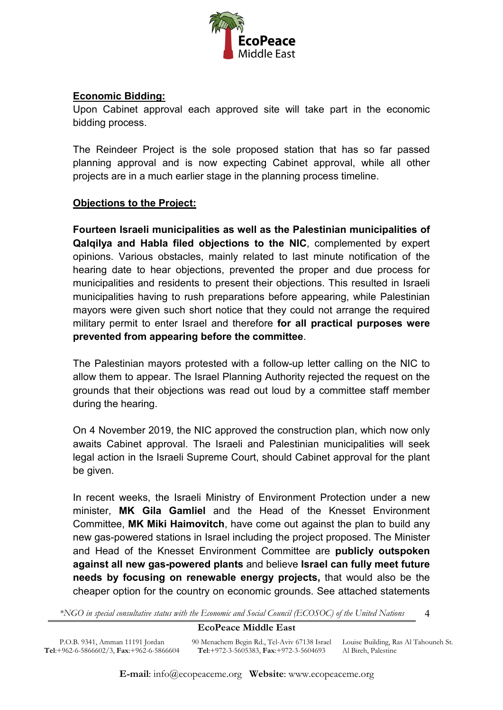

# **Economic Bidding:**

Upon Cabinet approval each approved site will take part in the economic bidding process.

The Reindeer Project is the sole proposed station that has so far passed planning approval and is now expecting Cabinet approval, while all other projects are in a much earlier stage in the planning process timeline.

# **Objections to the Project:**

**Fourteen Israeli municipalities as well as the Palestinian municipalities of Qalqilya and Habla filed objections to the NIC**, complemented by expert opinions. Various obstacles, mainly related to last minute notification of the hearing date to hear objections, prevented the proper and due process for municipalities and residents to present their objections. This resulted in Israeli municipalities having to rush preparations before appearing, while Palestinian mayors were given such short notice that they could not arrange the required military permit to enter Israel and therefore **for all practical purposes were prevented from appearing before the committee**.

The Palestinian mayors protested with a follow-up letter calling on the NIC to allow them to appear. The Israel Planning Authority rejected the request on the grounds that their objections was read out loud by a committee staff member during the hearing.

On 4 November 2019, the NIC approved the construction plan, which now only awaits Cabinet approval. The Israeli and Palestinian municipalities will seek legal action in the Israeli Supreme Court, should Cabinet approval for the plant be given.

In recent weeks, the Israeli Ministry of Environment Protection under a new minister, **MK Gila Gamliel** and the Head of the Knesset Environment Committee, **MK Miki Haimovitch**, have come out against the plan to build any new gas-powered stations in Israel including the project proposed. The Minister and Head of the Knesset Environment Committee are **publicly outspoken against all new gas-powered plants** and believe **Israel can fully meet future needs by focusing on renewable energy projects,** that would also be the cheaper option for the country on economic grounds. See attached statements

*\*NGO in special consultative status with the Economic and Social Council (ECOSOC) of the United Nations*

#### **EcoPeace Middle East**

4

P.O.B. 9341, Amman 11191 Jordan **Tel**:+962-6-5866602/3, **Fax**:+962-6-5866604 90 Menachem Begin Rd., Tel-Aviv 67138 Israel Louise Building, Ras Al Tahouneh St. **Tel**:+972-3-5605383, **Fax**:+972-3-5604693 Al Bireh, Palestine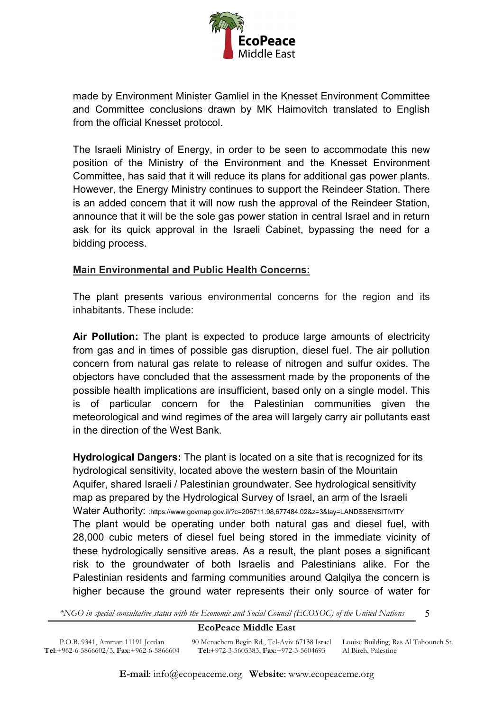

made by Environment Minister Gamliel in the Knesset Environment Committee and Committee conclusions drawn by MK Haimovitch translated to English from the official Knesset protocol.

The Israeli Ministry of Energy, in order to be seen to accommodate this new position of the Ministry of the Environment and the Knesset Environment Committee, has said that it will reduce its plans for additional gas power plants. However, the Energy Ministry continues to support the Reindeer Station. There is an added concern that it will now rush the approval of the Reindeer Station, announce that it will be the sole gas power station in central Israel and in return ask for its quick approval in the Israeli Cabinet, bypassing the need for a bidding process.

### **Main Environmental and Public Health Concerns:**

The plant presents various environmental concerns for the region and its inhabitants. These include:

**Air Pollution:** The plant is expected to produce large amounts of electricity from gas and in times of possible gas disruption, diesel fuel. The air pollution concern from natural gas relate to release of nitrogen and sulfur oxides. The objectors have concluded that the assessment made by the proponents of the possible health implications are insufficient, based only on a single model. This is of particular concern for the Palestinian communities given the meteorological and wind regimes of the area will largely carry air pollutants east in the direction of the West Bank.

**Hydrological Dangers:** The plant is located on a site that is recognized for its hydrological sensitivity, located above the western basin of the Mountain Aquifer, shared Israeli / Palestinian groundwater. See hydrological sensitivity map as prepared by the Hydrological Survey of Israel, an arm of the Israeli Water Authority: [:https://www.govmap.gov.il/?c=206711.98,677484.02&z=3&lay=LANDSSENSITIVITY](https://www.govmap.gov.il/?c=206711.98,677484.02&z=3&lay=LANDSSENSITIVITY) The plant would be operating under both natural gas and diesel fuel, with 28,000 cubic meters of diesel fuel being stored in the immediate vicinity of these hydrologically sensitive areas. As a result, the plant poses a significant risk to the groundwater of both Israelis and Palestinians alike. For the Palestinian residents and farming communities around Qalqilya the concern is higher because the ground water represents their only source of water for

*\*NGO in special consultative status with the Economic and Social Council (ECOSOC) of the United Nations*

#### **EcoPeace Middle East**

5

P.O.B. 9341, Amman 11191 Jordan **Tel**:+962-6-5866602/3, **Fax**:+962-6-5866604 90 Menachem Begin Rd., Tel-Aviv 67138 Israel Louise Building, Ras Al Tahouneh St. **Tel**:+972-3-5605383, **Fax**:+972-3-5604693 Al Bireh, Palestine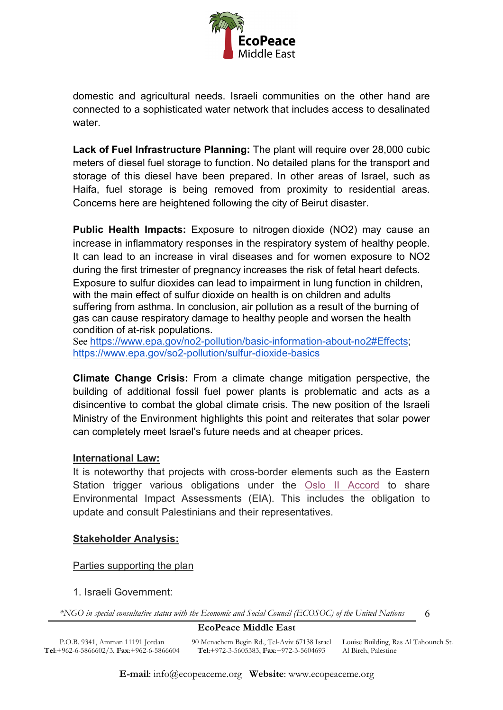

domestic and agricultural needs. Israeli communities on the other hand are connected to a sophisticated water network that includes access to desalinated water.

**Lack of Fuel Infrastructure Planning:** The plant will require over 28,000 cubic meters of diesel fuel storage to function. No detailed plans for the transport and storage of this diesel have been prepared. In other areas of Israel, such as Haifa, fuel storage is being removed from proximity to residential areas. Concerns here are heightened following the city of Beirut disaster.

**Public Health Impacts:** Exposure to nitrogen dioxide (NO2) may cause an increase in inflammatory responses in the respiratory system of healthy people. It can lead to an increase in viral diseases and for women exposure to NO2 during the first trimester of pregnancy increases the risk of fetal heart defects. Exposure to sulfur dioxides can lead to impairment in lung function in children, with the main effect of sulfur dioxide on health is on children and adults suffering from asthma. In conclusion, air pollution as a result of the burning of gas can cause respiratory damage to healthy people and worsen the health condition of at-risk populations.

See [https://www.epa.gov/no2-pollution/basic-information-about-no2#Effects;](https://www.epa.gov/no2-pollution/basic-information-about-no2#Effects) <https://www.epa.gov/so2-pollution/sulfur-dioxide-basics>

**Climate Change Crisis:** From a climate change mitigation perspective, the building of additional fossil fuel power plants is problematic and acts as a disincentive to combat the global climate crisis. The new position of the Israeli Ministry of the Environment highlights this point and reiterates that solar power can completely meet Israel's future needs and at cheaper prices.

# **International Law:**

It is noteworthy that projects with cross-border elements such as the Eastern Station trigger various obligations under th[e](http://www.acpr.org.il/publications/books/44-Zero-isr-pal-interim-agreement.pdf) [Oslo II Accord](http://www.acpr.org.il/publications/books/44-Zero-isr-pal-interim-agreement.pdf) to share Environmental Impact Assessments (EIA). This includes the obligation to update and consult Palestinians and their representatives.

# **Stakeholder Analysis:**

Parties supporting the plan

1. Israeli Government:

*\*NGO in special consultative status with the Economic and Social Council (ECOSOC) of the United Nations*

# **EcoPeace Middle East**

6

P.O.B. 9341, Amman 11191 Jordan **Tel**:+962-6-5866602/3, **Fax**:+962-6-5866604 90 Menachem Begin Rd., Tel-Aviv 67138 Israel Louise Building, Ras Al Tahouneh St. **Tel**:+972-3-5605383, **Fax**:+972-3-5604693 Al Bireh, Palestine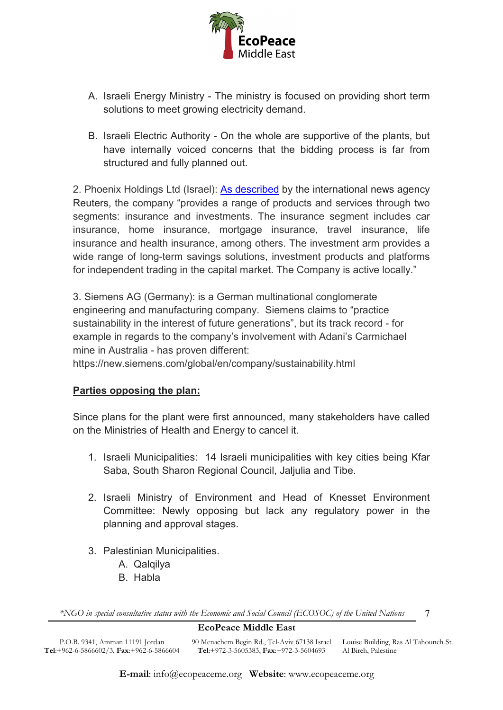

- A. Israeli Energy Ministry The ministry is focused on providing short term solutions to meet growing electricity demand.
- B. Israeli Electric Authority On the whole are supportive of the plants, but have internally voiced concerns that the bidding process is far from structured and fully planned out.

2. Phoenix Holdings Ltd (Israel): [As described](https://www.reuters.com/companies/PHOE1.TA) by the international news agency Reuters, the company "provides a range of products and services through two segments: insurance and investments. The insurance segment includes car insurance, home insurance, mortgage insurance, travel insurance, life insurance and health insurance, among others. The investment arm provides a wide range of long-term savings solutions, investment products and platforms for independent trading in the capital market. The Company is active locally."

3. Siemens AG (Germany): is a German multinational conglomerate engineering and manufacturing company. Siemens claims to "practice sustainability in the interest of future generations", but its track record - for example in regards to the company's involvement with Adani's Carmichael mine in Australia - has proven different:

https://new.siemens.com/global/en/company/sustainability.html

# **Parties opposing the plan:**

Since plans for the plant were first announced, many stakeholders have called on the Ministries of Health and Energy to cancel it.

- 1. Israeli Municipalities: 14 Israeli municipalities with key cities being Kfar Saba, South Sharon Regional Council, Jaljulia and Tibe.
- 2. Israeli Ministry of Environment and Head of Knesset Environment Committee: Newly opposing but lack any regulatory power in the planning and approval stages.
- 3. Palestinian Municipalities.
	- A. Qalqilya
	- B. Habla

*\*NGO in special consultative status with the Economic and Social Council (ECOSOC) of the United Nations*

# **EcoPeace Middle East**

P.O.B. 9341, Amman 11191 Jordan **Tel**:+962-6-5866602/3, **Fax**:+962-6-5866604 90 Menachem Begin Rd., Tel-Aviv 67138 Israel Louise Building, Ras Al Tahouneh St. **Tel**:+972-3-5605383, **Fax**:+972-3-5604693 Al Bireh, Palestine

7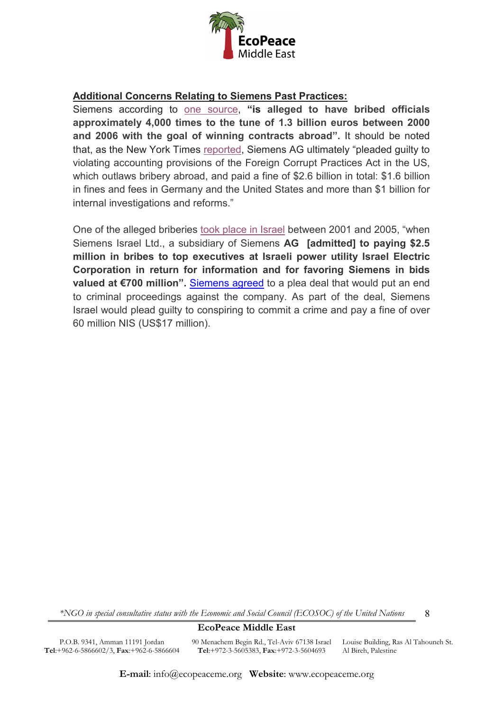

## **Additional Concerns Relating to Siemens Past Practices:**

Siemens according to [one source,](https://www.dw.com/en/siemens-bribery-fines-top-1-billion-euros/a-3877528) **"is alleged to have bribed officials approximately 4,000 times to the tune of 1.3 billion euros between 2000 and 2006 with the goal of winning contracts abroad".** It should be noted that, as the New York Time[s](https://www.nytimes.com/2008/12/21/business/worldbusiness/21siemens.html) [reported,](https://www.nytimes.com/2008/12/21/business/worldbusiness/21siemens.html) Siemens AG ultimately "pleaded guilty to violating accounting provisions of the Foreign Corrupt Practices Act in the US, which outlaws bribery abroad, and paid a fine of \$2.6 billion in total: \$1.6 billion in fines and fees in Germany and the United States and more than \$1 billion for internal investigations and reforms."

One of the alleged briberies [took place in Israel](https://www.calcalistech.com/ctech/articles/0,7340,L-3724399,00.html) between 2001 and 2005, "when Siemens Israel Ltd., a subsidiary of Siemens **AG [admitted] to paying \$2.5 million in bribes to top executives at Israeli power utility Israel Electric Corporation in return for information and for favoring Siemens in bids valued at €700 million".** [Siemens agreed](https://en.globes.co.il/en/article-court-fines-siemens-israel-nis-63m-for-conspiracy-1001210594) to a plea deal that would put an end to criminal proceedings against the company. As part of the deal, Siemens Israel would plead guilty to conspiring to commit a crime and pay a fine of over 60 million NIS (US\$17 million).

*\*NGO in special consultative status with the Economic and Social Council (ECOSOC) of the United Nations*

8

**EcoPeace Middle East**

P.O.B. 9341, Amman 11191 Jordan **Tel**:+962-6-5866602/3, **Fax**:+962-6-5866604 90 Menachem Begin Rd., Tel-Aviv 67138 Israel Louise Building, Ras Al Tahouneh St. **Tel**:+972-3-5605383, **Fax**:+972-3-5604693 Al Bireh, Palestine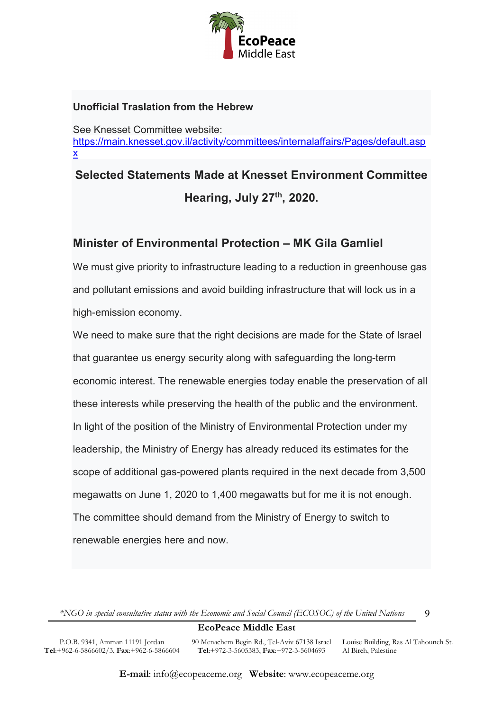

# **Unofficial Traslation from the Hebrew**

See Knesset Committee website: [https://main.knesset.gov.il/activity/committees/internalaffairs/Pages/default.asp](https://main.knesset.gov.il/activity/committees/internalaffairs/Pages/default.aspx) [x](https://main.knesset.gov.il/activity/committees/internalaffairs/Pages/default.aspx)

# **Selected Statements Made at Knesset Environment Committee Hearing, July 27th, 2020.**

# **Minister of Environmental Protection – MK Gila Gamliel**

We must give priority to infrastructure leading to a reduction in greenhouse gas and pollutant emissions and avoid building infrastructure that will lock us in a high-emission economy.

We need to make sure that the right decisions are made for the State of Israel that guarantee us energy security along with safeguarding the long-term economic interest. The renewable energies today enable the preservation of all these interests while preserving the health of the public and the environment. In light of the position of the Ministry of Environmental Protection under my leadership, the Ministry of Energy has already reduced its estimates for the scope of additional gas-powered plants required in the next decade from 3,500 megawatts on June 1, 2020 to 1,400 megawatts but for me it is not enough. The committee should demand from the Ministry of Energy to switch to renewable energies here and now.

*\*NGO in special consultative status with the Economic and Social Council (ECOSOC) of the United Nations*

# **EcoPeace Middle East**

P.O.B. 9341, Amman 11191 Jordan **Tel**:+962-6-5866602/3, **Fax**:+962-6-5866604 90 Menachem Begin Rd., Tel-Aviv 67138 Israel Louise Building, Ras Al Tahouneh St. **Tel**:+972-3-5605383, **Fax**:+972-3-5604693

Al Bireh, Palestine

9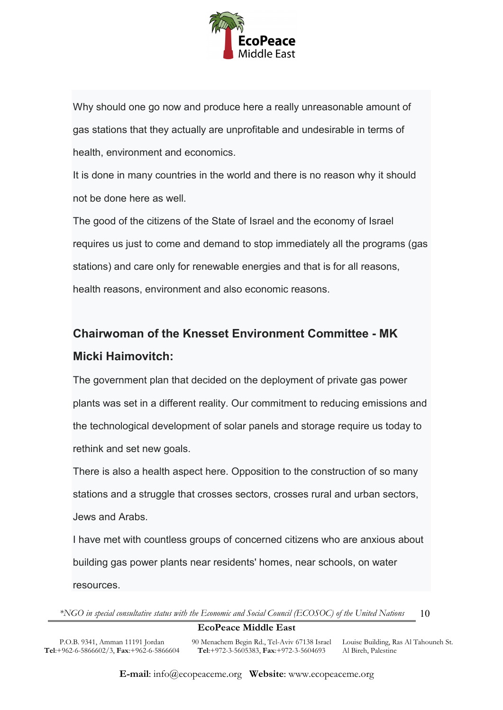

Why should one go now and produce here a really unreasonable amount of gas stations that they actually are unprofitable and undesirable in terms of health, environment and economics.

It is done in many countries in the world and there is no reason why it should not be done here as well.

The good of the citizens of the State of Israel and the economy of Israel requires us just to come and demand to stop immediately all the programs (gas stations) and care only for renewable energies and that is for all reasons, health reasons, environment and also economic reasons.

# **Chairwoman of the Knesset Environment Committee - MK Micki Haimovitch:**

The government plan that decided on the deployment of private gas power plants was set in a different reality. Our commitment to reducing emissions and the technological development of solar panels and storage require us today to rethink and set new goals.

There is also a health aspect here. Opposition to the construction of so many stations and a struggle that crosses sectors, crosses rural and urban sectors, Jews and Arabs.

I have met with countless groups of concerned citizens who are anxious about building gas power plants near residents' homes, near schools, on water resources.

*\*NGO in special consultative status with the Economic and Social Council (ECOSOC) of the United Nations* 10

# **EcoPeace Middle East**

P.O.B. 9341, Amman 11191 Jordan **Tel**:+962-6-5866602/3, **Fax**:+962-6-5866604 90 Menachem Begin Rd., Tel-Aviv 67138 Israel Louise Building, Ras Al Tahouneh St. **Tel**:+972-3-5605383, **Fax**:+972-3-5604693 Al Bireh, Palestine